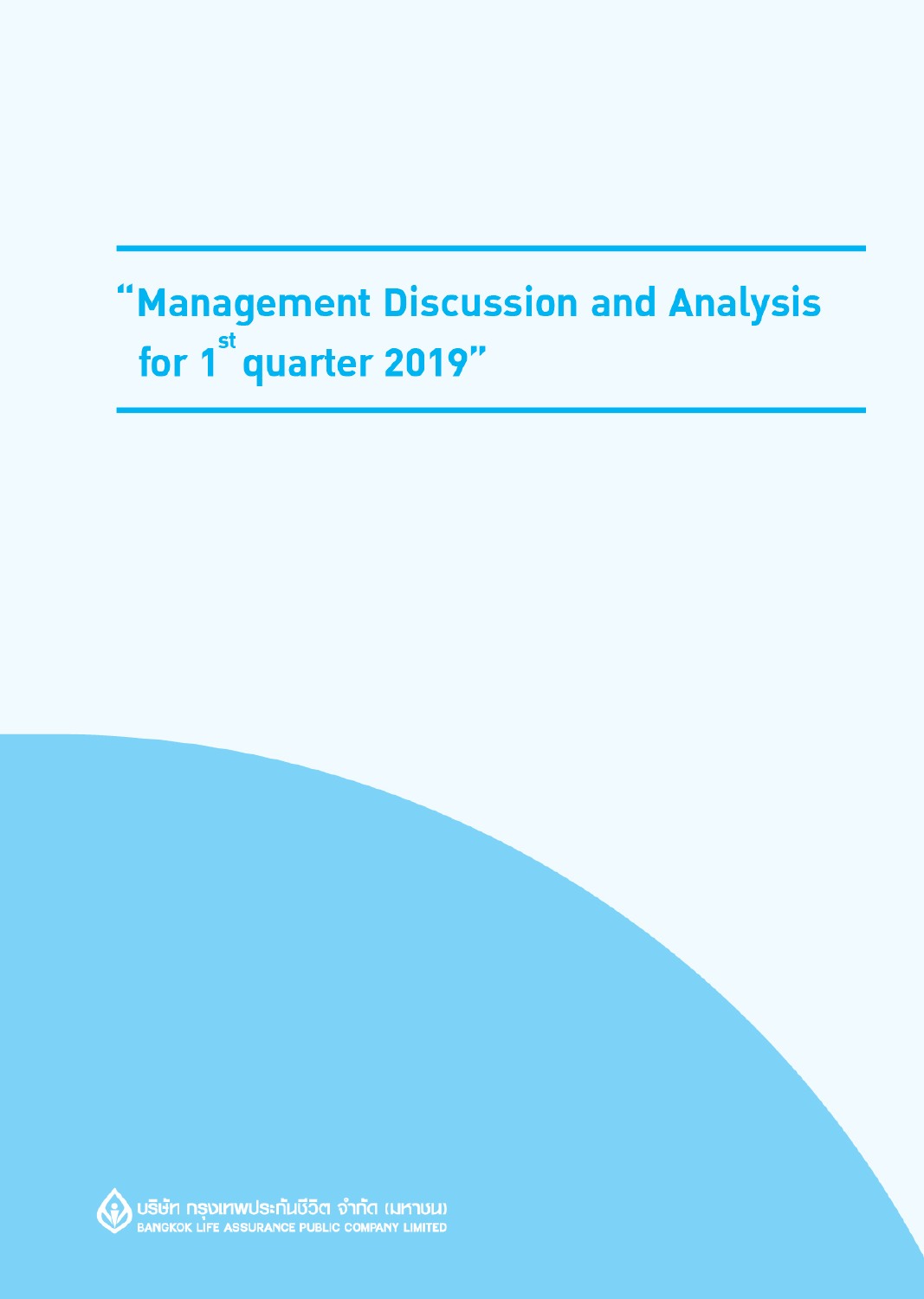# "Management Discussion and Analysis for 1<sup>st</sup> quarter 2019"

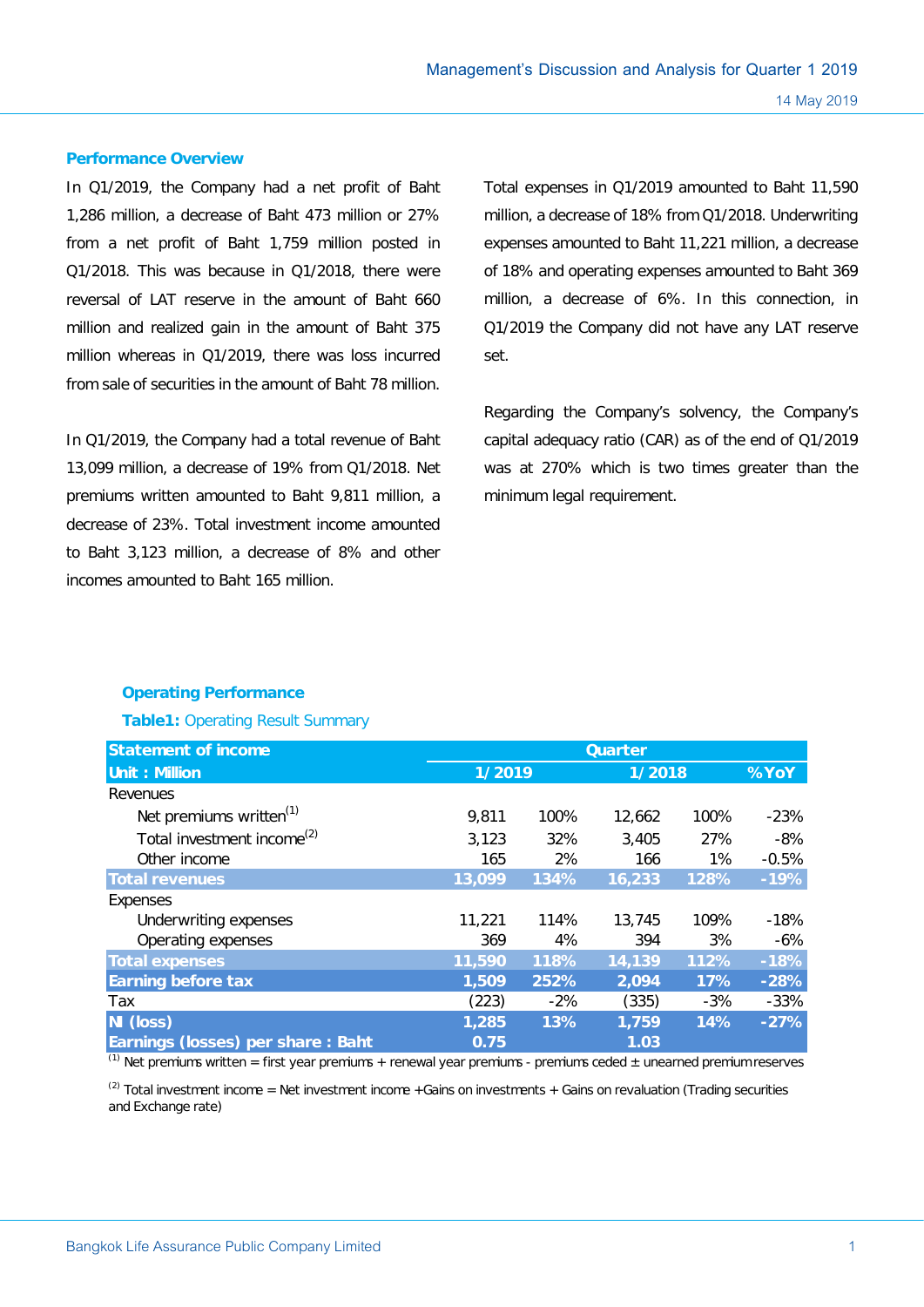#### **Performance Overview**

In Q1/2019, the Company had a net profit of Baht 1,286 million, a decrease of Baht 473 million or 27% from a net profit of Baht 1,759 million posted in Q1/2018. This was because in Q1/2018, there were reversal of LAT reserve in the amount of Baht 660 million and realized gain in the amount of Baht 375 million whereas in Q1/2019, there was loss incurred from sale of securities in the amount of Baht 78 million.

In Q1/2019, the Company had a total revenue of Baht 13,099 million, a decrease of 19% from Q1/2018. Net premiums written amounted to Baht 9,811 million, a decrease of 23%. Total investment income amounted to Baht 3,123 million, a decrease of 8% and other incomes amounted to Baht 165 million.

Total expenses in Q1/2019 amounted to Baht 11,590 million, a decrease of 18% from Q1/2018. Underwriting expenses amounted to Baht 11,221 million, a decrease of 18% and operating expenses amounted to Baht 369 million, a decrease of 6%. In this connection, in Q1/2019 the Company did not have any LAT reserve set.

Regarding the Company's solvency, the Company's capital adequacy ratio (CAR) as of the end of Q1/2019 was at 270% which is two times greater than the minimum legal requirement.

# **Operating Performance**

# **Table1:** Operating Result Summary

| <b>Statement of income</b>             | <b>Quarter</b> |       |        |       |         |
|----------------------------------------|----------------|-------|--------|-------|---------|
| <b>Unit: Million</b>                   | 1/2019         |       | 1/2018 |       | %YoY    |
| Revenues                               |                |       |        |       |         |
| Net premiums written <sup>(1)</sup>    | 9,811          | 100%  | 12,662 | 100%  | $-23%$  |
| Total investment income <sup>(2)</sup> | 3,123          | 32%   | 3,405  | 27%   | -8%     |
| Other income                           | 165            | 2%    | 166    | $1\%$ | $-0.5%$ |
| <b>Total revenues</b>                  | 13,099         | 134%  | 16,233 | 128%  | $-19%$  |
| Expenses                               |                |       |        |       |         |
| Underwriting expenses                  | 11,221         | 114%  | 13,745 | 109%  | $-18%$  |
| Operating expenses                     | 369            | 4%    | 394    | 3%    | -6%     |
| <b>Total expenses</b>                  | 11,590         | 118%  | 14,139 | 112%  | $-18%$  |
| <b>Earning before tax</b>              | 1,509          | 252%  | 2,094  | 17%   | $-28%$  |
| Tax                                    | (223)          | $-2%$ | (335)  | $-3%$ | $-33%$  |
| NI (loss)                              | 1,285          | 13%   | 1,759  | 14%   | $-27%$  |
| Earnings (losses) per share: Baht      | 0.75           |       | 1.03   |       |         |

 $(1)$  Net premiums written = first year premiums + renewal year premiums - premiums ceded  $\pm$  unearned premium reserves

 $<sup>(2)</sup>$  Total investment income = Net investment income +Gains on investments + Gains on revaluation (Trading securities</sup> and Exchange rate)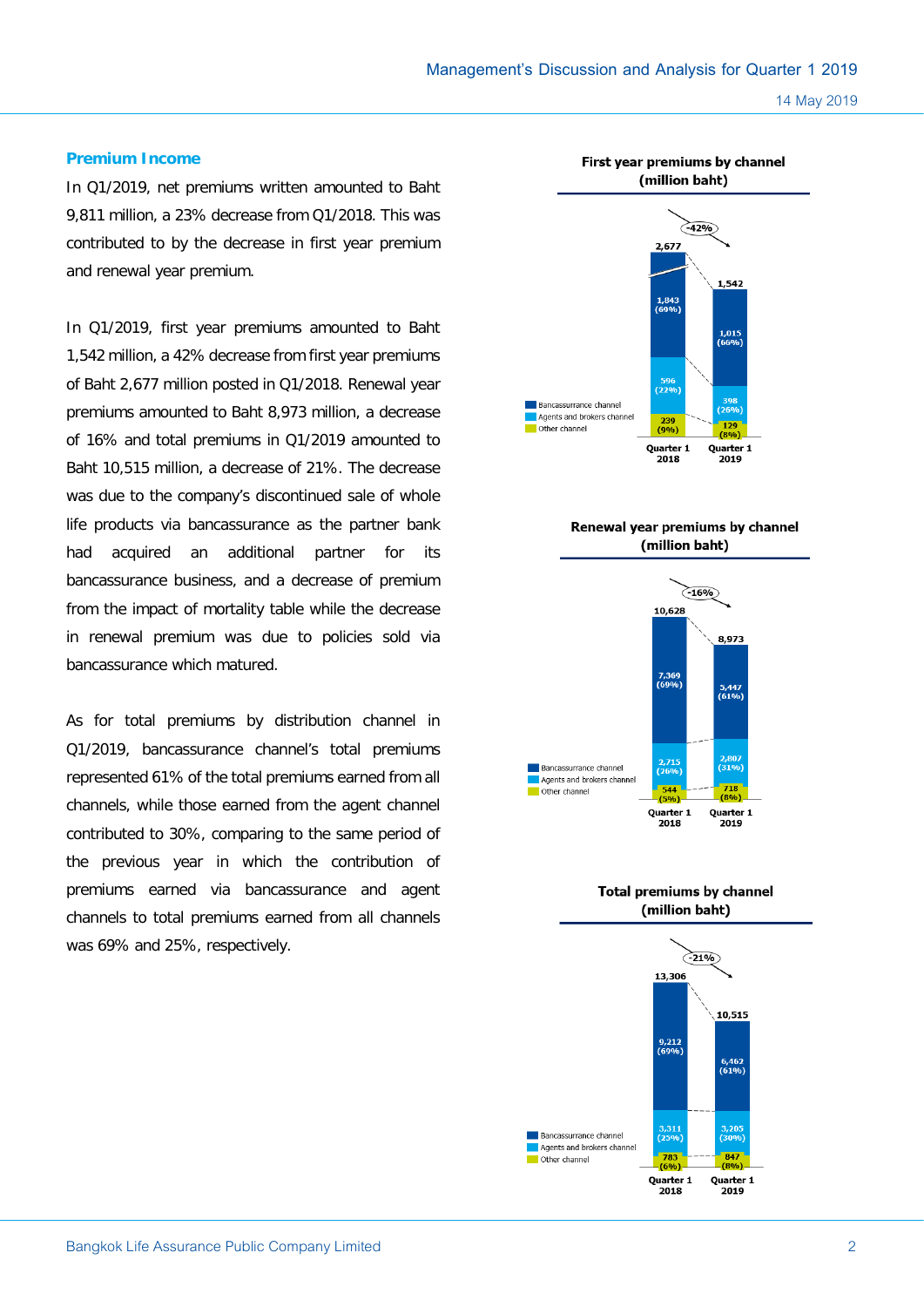## **Premium Income**

In Q1/2019, net premiums written amounted to Baht 9,811 million, a 23% decrease from Q1/2018. This was contributed to by the decrease in first year premium and renewal year premium.

In Q1/2019, first year premiums amounted to Baht 1,542 million, a 42% decrease from first year premiums of Baht 2,677 million posted in Q1/2018. Renewal year premiums amounted to Baht 8,973 million, a decrease of 16% and total premiums in Q1/2019 amounted to Baht 10,515 million, a decrease of 21%. The decrease was due to the company's discontinued sale of whole life products via bancassurance as the partner bank had acquired an additional partner for its bancassurance business, and a decrease of premium from the impact of mortality table while the decrease in renewal premium was due to policies sold via bancassurance which matured.

As for total premiums by distribution channel in Q1/2019, bancassurance channel's total premiums represented 61% of the total premiums earned from all channels, while those earned from the agent channel contributed to 30%, comparing to the same period of the previous year in which the contribution of premiums earned via bancassurance and agent channels to total premiums earned from all channels was 69% and 25%, respectively.



## Renewal year premiums by channel (million baht)



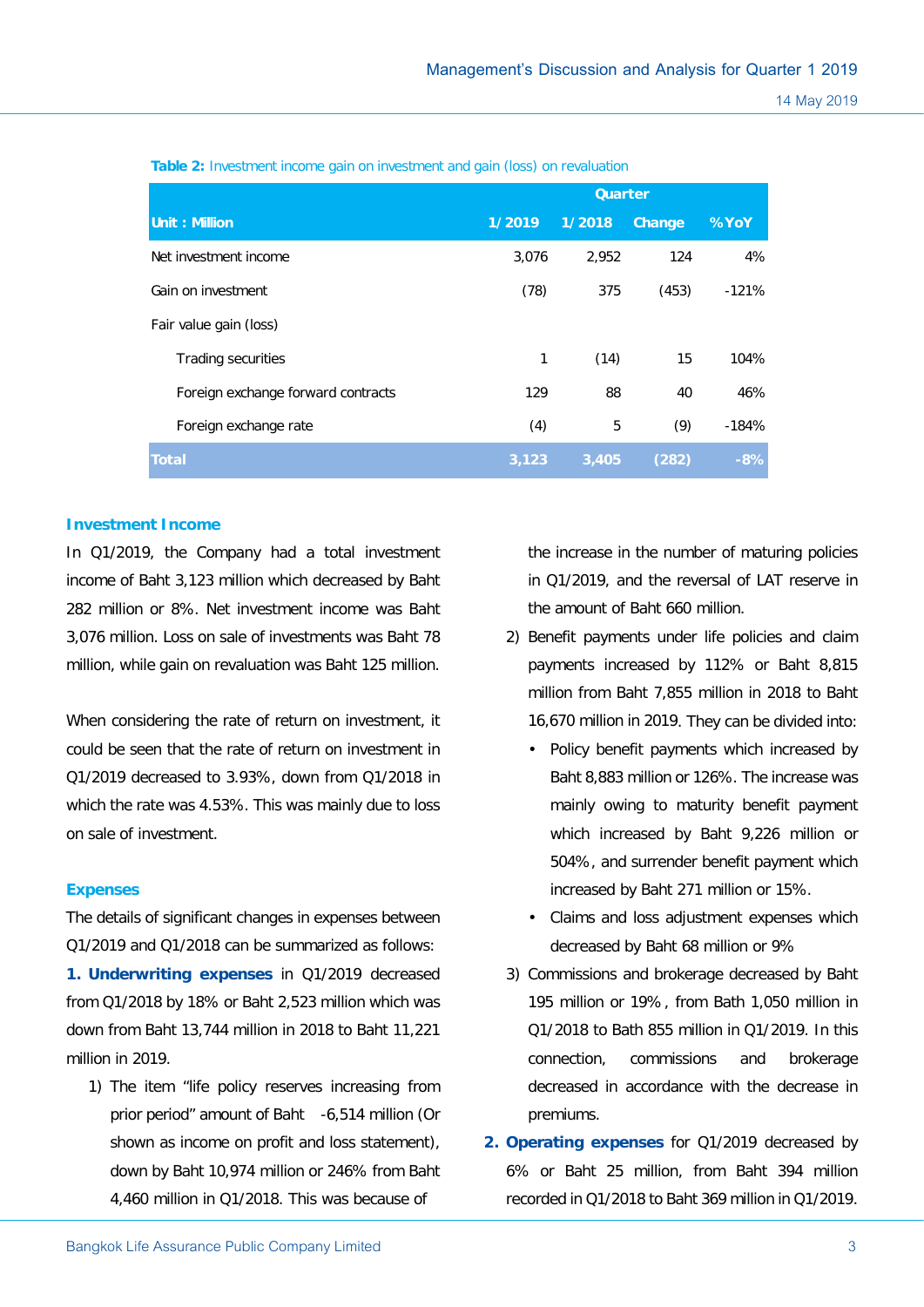|                                    | <b>Quarter</b> |        |        |         |
|------------------------------------|----------------|--------|--------|---------|
| Unit: Million                      | 1/2019         | 1/2018 | Change | %YoY    |
| Net investment income              | 3,076          | 2,952  | 124    | 4%      |
| Gain on investment                 | (78)           | 375    | (453)  | $-121%$ |
| Fair value gain (loss)             |                |        |        |         |
| Trading securities                 | 1              | (14)   | 15     | 104%    |
| Foreign exchange forward contracts | 129            | 88     | 40     | 46%     |
| Foreign exchange rate              | (4)            | 5      | (9)    | $-184%$ |
| <b>Total</b>                       | 3,123          | 3,405  | (282)  | $-8%$   |

**Table 2:** Investment income gain on investment and gain (loss) on revaluation

## **Investment Income**

In Q1/2019, the Company had a total investment income of Baht 3,123 million which decreased by Baht 282 million or 8%. Net investment income was Baht 3,076 million. Loss on sale of investments was Baht 78 million, while gain on revaluation was Baht 125 million.

When considering the rate of return on investment, it could be seen that the rate of return on investment in Q1/2019 decreased to 3.93%, down from Q1/2018 in which the rate was 4.53%. This was mainly due to loss on sale of investment.

## **Expenses**

The details of significant changes in expenses between Q1/2019 and Q1/2018 can be summarized as follows:

**1. Underwriting expenses** in Q1/2019 decreased from Q1/2018 by 18% or Baht 2,523 million which was down from Baht 13,744 million in 2018 to Baht 11,221 million in 2019.

1) The item "life policy reserves increasing from prior period" amount of Baht -6,514 million (Or shown as income on profit and loss statement), down by Baht 10,974 million or 246% from Baht 4,460 million in Q1/2018. This was because of

the increase in the number of maturing policies in Q1/2019, and the reversal of LAT reserve in the amount of Baht 660 million.

- 2) Benefit payments under life policies and claim payments increased by 112% or Baht 8,815 million from Baht 7,855 million in 2018 to Baht 16,670 million in 2019. They can be divided into:
	- Policy benefit payments which increased by Baht 8,883 million or 126%. The increase was mainly owing to maturity benefit payment which increased by Baht 9,226 million or 504%, and surrender benefit payment which increased by Baht 271 million or 15%.
	- Claims and loss adjustment expenses which decreased by Baht 68 million or 9%
- 3) Commissions and brokerage decreased by Baht 195 million or 19%, from Bath 1,050 million in Q1/2018 to Bath 855 million in Q1/2019. In this connection, commissions and brokerage decreased in accordance with the decrease in premiums.
- **2. Operating expenses** for Q1/2019 decreased by 6% or Baht 25 million, from Baht 394 million recorded in Q1/2018 to Baht 369 million in Q1/2019.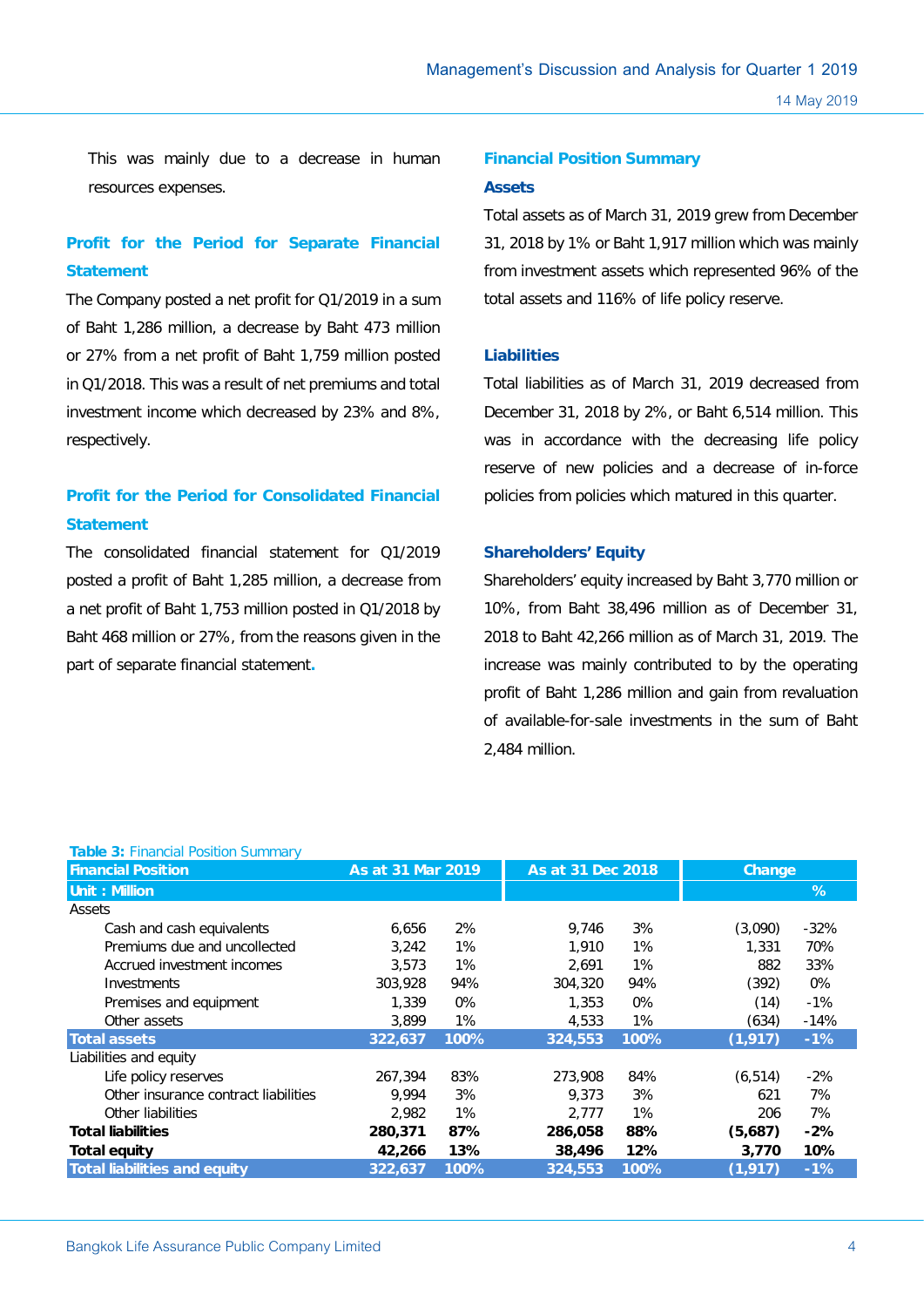This was mainly due to a decrease in human resources expenses.

# **Profit for the Period for Separate Financial Statement**

The Company posted a net profit for Q1/2019 in a sum of Baht 1,286 million, a decrease by Baht 473 million or 27% from a net profit of Baht 1,759 million posted in Q1/2018. This was a result of net premiums and total investment income which decreased by 23% and 8%, respectively.

# **Profit for the Period for Consolidated Financial Statement**

The consolidated financial statement for Q1/2019 posted a profit of Baht 1,285 million, a decrease from a net profit of Baht 1,753 million posted in Q1/2018 by Baht 468 million or 27%, from the reasons given in the part of separate financial statement**.**

**Table 3:** Financial Position Summary

# **Financial Position Summary**

# **Assets**

Total assets as of March 31, 2019 grew from December 31, 2018 by 1% or Baht 1,917 million which was mainly from investment assets which represented 96% of the total assets and 116% of life policy reserve.

## **Liabilities**

Total liabilities as of March 31, 2019 decreased from December 31, 2018 by 2%, or Baht 6,514 million. This was in accordance with the decreasing life policy reserve of new policies and a decrease of in-force policies from policies which matured in this quarter.

## **Shareholders' Equity**

Shareholders' equity increased by Baht 3,770 million or 10%, from Baht 38,496 million as of December 31, 2018 to Baht 42,266 million as of March 31, 2019. The increase was mainly contributed to by the operating profit of Baht 1,286 million and gain from revaluation of available-for-sale investments in the sum of Baht 2,484 million.

| <b>1 apro 6:</b> 1 marroldi i controli calificial<br><b>Financial Position</b> | As at 31 Mar 2019 |       | As at 31 Dec 2018 |      | Change   |        |
|--------------------------------------------------------------------------------|-------------------|-------|-------------------|------|----------|--------|
| Unit: Million                                                                  |                   |       |                   |      |          | $\%$   |
| Assets                                                                         |                   |       |                   |      |          |        |
| Cash and cash equivalents                                                      | 6,656             | 2%    | 9,746             | 3%   | (3,090)  | $-32%$ |
| Premiums due and uncollected                                                   | 3.242             | 1%    | 1,910             | 1%   | 1,331    | 70%    |
| Accrued investment incomes                                                     | 3,573             | 1%    | 2,691             | 1%   | 882      | 33%    |
| <b>Investments</b>                                                             | 303,928           | 94%   | 304,320           | 94%  | (392)    | 0%     |
| Premises and equipment                                                         | 1,339             | 0%    | 1,353             | 0%   | (14)     | $-1%$  |
| Other assets                                                                   | 3,899             | 1%    | 4,533             | 1%   | (634)    | $-14%$ |
| <b>Total assets</b>                                                            | 322.637           | 100%  | 324,553           | 100% | (1, 917) | $-1%$  |
| Liabilities and equity                                                         |                   |       |                   |      |          |        |
| Life policy reserves                                                           | 267.394           | 83%   | 273,908           | 84%  | (6, 514) | $-2%$  |
| Other insurance contract liabilities                                           | 9.994             | 3%    | 9.373             | 3%   | 621      | 7%     |
| Other liabilities                                                              | 2,982             | $1\%$ | 2,777             | 1%   | 206      | 7%     |
| <b>Total liabilities</b>                                                       | 280,371           | 87%   | 286,058           | 88%  | (5,687)  | $-2%$  |
| <b>Total equity</b>                                                            | 42,266            | 13%   | 38,496            | 12%  | 3,770    | 10%    |
| <b>Total liabilities and equity</b>                                            | 322.637           | 100%  | 324,553           | 100% | (1, 917) | $-1%$  |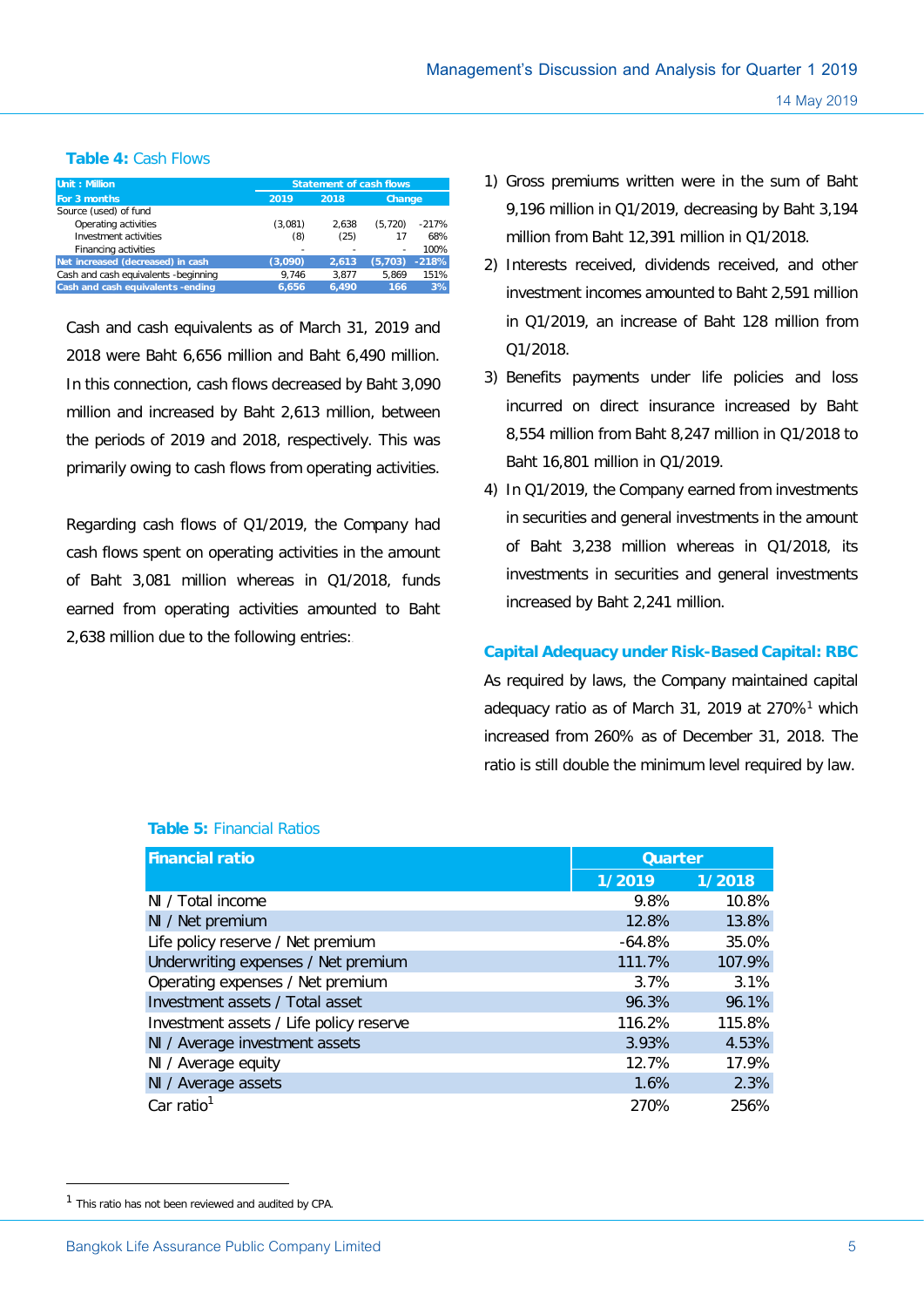# **Table 4:** Cash Flows

| Unit: Million                        | <b>Statement of cash flows</b> |       |         |         |
|--------------------------------------|--------------------------------|-------|---------|---------|
| For 3 months                         | 2019                           | 2018  | Change  |         |
| Source (used) of fund                |                                |       |         |         |
| Operating activities                 | (3,081)                        | 2.638 | (5.720) | $-217%$ |
| Investment activities                | (8)                            | (25)  | 17      | 68%     |
| Financing activities                 | $\overline{\phantom{a}}$       | ٠     | ٠       | 100%    |
| Net increased (decreased) in cash    | (3,090)                        | 2.613 | (5,703) | $-218%$ |
| Cash and cash equivalents -beginning | 9.746                          | 3.877 | 5.869   | 151%    |
| Cash and cash equivalents -ending    | 6.656                          | 6.490 | 166     | 3%      |

Cash and cash equivalents as of March 31, 2019 and 2018 were Baht 6,656 million and Baht 6,490 million. In this connection, cash flows decreased by Baht 3,090 million and increased by Baht 2,613 million, between the periods of 2019 and 2018, respectively. This was primarily owing to cash flows from operating activities.

Regarding cash flows of Q1/2019, the Company had cash flows spent on operating activities in the amount of Baht 3,081 million whereas in Q1/2018, funds earned from operating activities amounted to Baht 2,638 million due to the following entries:

- 1) Gross premiums written were in the sum of Baht 9,196 million in Q1/2019, decreasing by Baht 3,194 million from Baht 12,391 million in Q1/2018.
- 2) Interests received, dividends received, and other investment incomes amounted to Baht 2,591 million in Q1/2019, an increase of Baht 128 million from Q1/2018.
- 3) Benefits payments under life policies and loss incurred on direct insurance increased by Baht 8,554 million from Baht 8,247 million in Q1/2018 to Baht 16,801 million in Q1/2019.
- 4) In Q1/2019, the Company earned from investments in securities and general investments in the amount of Baht 3,238 million whereas in Q1/2018, its investments in securities and general investments increased by Baht 2,241 million.

**Capital Adequacy under Risk-Based Capital: RBC** As required by laws, the Company maintained capital adequacy ratio as of March 31, 2019 at 270%1 which increased from 260% as of December 31, 2018. The ratio is still double the minimum level required by law.

| <b>Financial ratio</b>                  | <b>Quarter</b> |        |
|-----------------------------------------|----------------|--------|
|                                         | 1/2019         | 1/2018 |
| NI / Total income                       | 9.8%           | 10.8%  |
| NI / Net premium                        | 12.8%          | 13.8%  |
| Life policy reserve / Net premium       | $-64.8%$       | 35.0%  |
| Underwriting expenses / Net premium     | 111.7%         | 107.9% |
| Operating expenses / Net premium        | 3.7%           | 3.1%   |
| Investment assets / Total asset         | 96.3%          | 96.1%  |
| Investment assets / Life policy reserve | 116.2%         | 115.8% |
| NI / Average investment assets          | 3.93%          | 4.53%  |
| NI / Average equity                     | 12.7%          | 17.9%  |
| NI / Average assets                     | 1.6%           | 2.3%   |
| Car ratio <sup>1</sup>                  | 270%           | 256%   |

## **Table 5:** Financial Ratios

 $\overline{a}$ 

 $1$  This ratio has not been reviewed and audited by CPA.